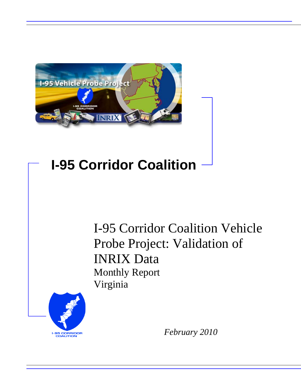

# **I-95 Corridor Coalition**

I-95 Corridor Coalition Vehicle Probe Project: Validation of INRIX Data Monthly Report Virginia



*February 2010*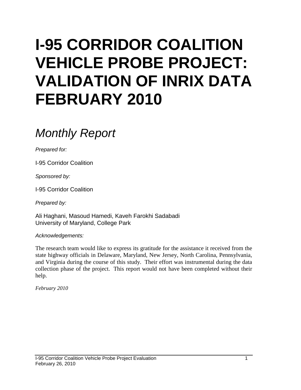# **I-95 CORRIDOR COALITION VEHICLE PROBE PROJECT: VALIDATION OF INRIX DATA FEBRUARY 2010**

# *Monthly Report*

*Prepared for:*

I-95 Corridor Coalition

*Sponsored by:*

I-95 Corridor Coalition

*Prepared by:*

Ali Haghani, Masoud Hamedi, Kaveh Farokhi Sadabadi University of Maryland, College Park

*Acknowledgements:*

The research team would like to express its gratitude for the assistance it received from the state highway officials in Delaware, Maryland, New Jersey, North Carolina, Pennsylvania, and Virginia during the course of this study. Their effort was instrumental during the data collection phase of the project. This report would not have been completed without their help.

*February 2010*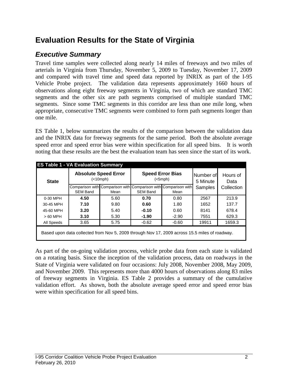# **Evaluation Results for the State of Virginia**

# *Executive Summary*

Travel time samples were collected along nearly 14 miles of freeways and two miles of arterials in Virginia from Thursday, November 5, 2009 to Tuesday, November 17, 2009 and compared with travel time and speed data reported by INRIX as part of the I-95 Vehicle Probe project. The validation data represents approximately 1660 hours of observations along eight freeway segments in Virginia, two of which are standard TMC segments and the other six are path segments comprised of multiple standard TMC segments. Since some TMC segments in this corridor are less than one mile long, when appropriate, consecutive TMC segments were combined to form path segments longer than one mile.

ES Table 1, below summarizes the results of the comparison between the validation data and the INRIX data for freeway segments for the same period. Both the absolute average speed error and speed error bias were within specification for all speed bins. It is worth noting that these results are the best the evaluation team has seen since the start of its work.

| <b>State</b> |                                                                                               | <b>Absolute Speed Error</b><br>( <sub>10</sub> mph) |                                                                                    | <b>Speed Error Bias</b><br>(<5 mph) | Number of<br>5 Minute | Hours of<br>Data |  |  |  |  |
|--------------|-----------------------------------------------------------------------------------------------|-----------------------------------------------------|------------------------------------------------------------------------------------|-------------------------------------|-----------------------|------------------|--|--|--|--|
|              | <b>SEM Band</b>                                                                               | Mean                                                | Comparison with Comparison with Comparison with Comparison with<br><b>SEM Band</b> | Mean                                | <b>Samples</b>        | Collection       |  |  |  |  |
| 0-30 MPH     | 4.50                                                                                          | 5.60                                                | 0.70                                                                               | 0.80                                | 2567                  | 213.9            |  |  |  |  |
| 30-45 MPH    | 7.10                                                                                          | 9.80                                                | 0.60                                                                               | 1.80                                | 1652                  | 137.7            |  |  |  |  |
| 45-60 MPH    | 3.20                                                                                          | 5.40                                                | $-0.10$                                                                            | 0.60                                | 8141                  | 678.4            |  |  |  |  |
| $>60$ MPH    | 3.10                                                                                          | 5.30                                                | $-1.90$                                                                            | $-2.90$                             | 7551                  | 629.3            |  |  |  |  |
| All Speeds   | 3.65                                                                                          | 5.75                                                | $-0.62$                                                                            | $-0.60$                             | 19911                 | 1659.3           |  |  |  |  |
|              | Based upon data collected from Nov 5, 2009 through Nov 17, 2009 across 15.5 miles of roadway. |                                                     |                                                                                    |                                     |                       |                  |  |  |  |  |

As part of the on-going validation process, vehicle probe data from each state is validated on a rotating basis. Since the inception of the validation process, data on roadways in the State of Virginia were validated on four occasions: July 2008, November 2008, May 2009, and November 2009. This represents more than 4000 hours of observations along 83 miles of freeway segments in Virginia. ES Table 2 provides a summary of the cumulative validation effort. As shown, both the absolute average speed error and speed error bias were within specification for all speed bins.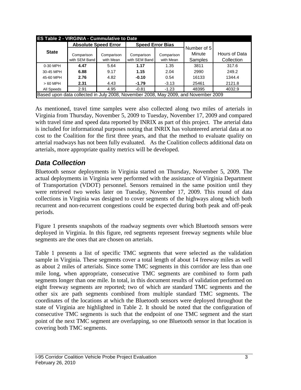|                                                                                    | <b>ES Table 2 - VIRGINIA - Cummulative to Date</b> |                             |                             |                         |                   |                             |  |  |  |  |  |  |
|------------------------------------------------------------------------------------|----------------------------------------------------|-----------------------------|-----------------------------|-------------------------|-------------------|-----------------------------|--|--|--|--|--|--|
|                                                                                    |                                                    | <b>Absolute Speed Error</b> | <b>Speed Error Bias</b>     |                         | Number of 5       |                             |  |  |  |  |  |  |
| <b>State</b>                                                                       | Comparison<br>with SEM Band                        | Comparison<br>with Mean     | Comparison<br>with SEM Band | Comparison<br>with Mean | Minute<br>Samples | Hours of Data<br>Collection |  |  |  |  |  |  |
| 0-30 MPH                                                                           | 4.47                                               | 5.64                        | 1.17                        | 1.35                    | 3811              | 317.6                       |  |  |  |  |  |  |
| 30-45 MPH                                                                          | 6.88                                               | 9.17                        | 1.15                        | 2.04                    | 2990              | 249.2                       |  |  |  |  |  |  |
| 45-60 MPH                                                                          | 2.76                                               | 4.82                        | $-0.10$                     | 0.54                    | 16133             | 1344.4                      |  |  |  |  |  |  |
| $>60$ MPH                                                                          | 2.31                                               | 4.43                        | $-1.79$                     | $-3.13$                 | 25461             | 2121.8                      |  |  |  |  |  |  |
| All Speeds                                                                         | 2.91                                               | 4.95                        | $-0.81$                     | $-1.23$                 | 48395             | 4032.9                      |  |  |  |  |  |  |
| Based upon data collected in July 2008, November 2008, May 2009, and November 2009 |                                                    |                             |                             |                         |                   |                             |  |  |  |  |  |  |

As mentioned, travel time samples were also collected along two miles of arterials in Virginia from Thursday, November 5, 2009 to Tuesday, November 17, 2009 and compared with travel time and speed data reported by INRIX as part of this project. The arterial data is included for informational purposes noting that INRIX has volunteered arterial data at no cost to the Coalition for the first three years, and that the method to evaluate quality on arterial roadways has not been fully evaluated. As the Coalition collects additional data on arterials, more appropriate quality metrics will be developed.

### *Data Collection*

Bluetooth sensor deployments in Virginia started on Thursday, November 5, 2009. The actual deployments in Virginia were performed with the assistance of Virginia Department of Transportation (VDOT) personnel. Sensors remained in the same position until they were retrieved two weeks later on Tuesday, November 17, 2009. This round of data collections in Virginia was designed to cover segments of the highways along which both recurrent and non-recurrent congestions could be expected during both peak and off-peak periods.

Figure 1 presents snapshots of the roadway segments over which Bluetooth sensors were deployed in Virginia. In this figure, red segments represent freeway segments while blue segments are the ones that are chosen on arterials.

Table 1 presents a list of specific TMC segments that were selected as the validation sample in Virginia. These segments cover a total length of about 14 freeway miles as well as about 2 miles of arterials. Since some TMC segments in this corridor are less than one mile long, when appropriate, consecutive TMC segments are combined to form path segments longer than one mile. In total, in this document results of validation performed on eight freeway segments are reported; two of which are standard TMC segments and the other six are path segments combined from multiple standard TMC segments. The coordinates of the locations at which the Bluetooth sensors were deployed throughout the state of Virginia are highlighted in Table 2. It should be noted that the configuration of consecutive TMC segments is such that the endpoint of one TMC segment and the start point of the next TMC segment are overlapping, so one Bluetooth sensor in that location is covering both TMC segments.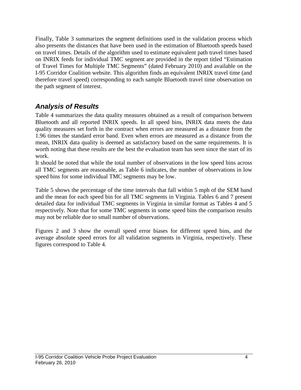Finally, Table 3 summarizes the segment definitions used in the validation process which also presents the distances that have been used in the estimation of Bluetooth speeds based on travel times. Details of the algorithm used to estimate equivalent path travel times based on INRIX feeds for individual TMC segment are provided in the report titled "Estimation of Travel Times for Multiple TMC Segments" (dated February 2010) and available on the I-95 Corridor Coalition website. This algorithm finds an equivalent INRIX travel time (and therefore travel speed) corresponding to each sample Bluetooth travel time observation on the path segment of interest.

## *Analysis of Results*

Table 4 summarizes the data quality measures obtained as a result of comparison between Bluetooth and all reported INRIX speeds. In all speed bins, INRIX data meets the data quality measures set forth in the contract when errors are measured as a distance from the 1.96 times the standard error band. Even when errors are measured as a distance from the mean, INRIX data quality is deemed as satisfactory based on the same requirements. It is worth noting that these results are the best the evaluation team has seen since the start of its work.

It should be noted that while the total number of observations in the low speed bins across all TMC segments are reasonable, as Table 6 indicates, the number of observations in low speed bins for some individual TMC segments may be low.

Table 5 shows the percentage of the time intervals that fall within 5 mph of the SEM band and the mean for each speed bin for all TMC segments in Virginia. Tables 6 and 7 present detailed data for individual TMC segments in Virginia in similar format as Tables 4 and 5 respectively. Note that for some TMC segments in some speed bins the comparison results may not be reliable due to small number of observations.

Figures 2 and 3 show the overall speed error biases for different speed bins, and the average absolute speed errors for all validation segments in Virginia, respectively. These figures correspond to Table 4.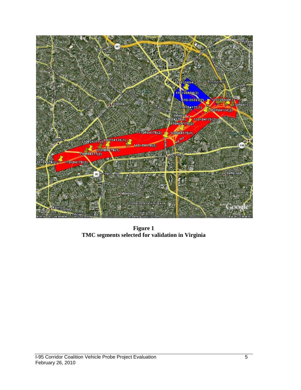

**Figure 1 TMC segments selected for validation in Virginia**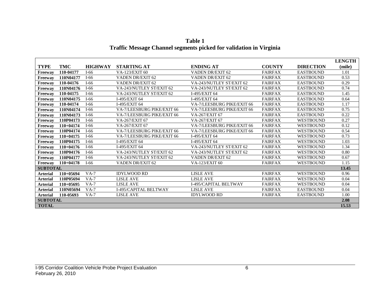|                 |             |                |                              |                            |                |                  | <b>LENGTH</b> |
|-----------------|-------------|----------------|------------------------------|----------------------------|----------------|------------------|---------------|
| <b>TYPE</b>     | TMC         | <b>HIGHWAY</b> | <b>STARTING AT</b>           | <b>ENDING AT</b>           | <b>COUNTY</b>  | <b>DIRECTION</b> | (mile)        |
| Freeway         | 110-04177   | $I-66$         | VA-123/EXIT 60               | VADEN DR/EXIT 62           | <b>FAIRFAX</b> | <b>EASTBOUND</b> | 1.01          |
| Freeway         | 110N04177   | $I-66$         | VADEN DR/EXIT 62             | VADEN DR/EXIT 62           | <b>FAIRFAX</b> | <b>EASTBOUND</b> | 0.53          |
| Freeway         | 110-04176   | $I-66$         | VADEN DR/EXIT 62             | VA-243/NUTLEY ST/EXIT 62   | <b>FAIRFAX</b> | <b>EASTBOUND</b> | 0.29          |
| Freeway         | 110N04176   | $I-66$         | VA-243/NUTLEY ST/EXIT 62     | VA-243/NUTLEY ST/EXIT 62   | <b>FAIRFAX</b> | <b>EASTBOUND</b> | 0.74          |
| Freeway         | 110-04175   | $I-66$         | VA-243/NUTLEY ST/EXIT 62     | I-495/EXIT 64              | <b>FAIRFAX</b> | <b>EASTBOUND</b> | 1.45          |
| Freeway         | 110N04175   | $I-66$         | I-495/EXIT 64                | I-495/EXIT 64              | <b>FAIRFAX</b> | <b>EASTBOUND</b> | 0.64          |
| Freeway         | 110-04174   | $I-66$         | I-495/EXIT 64                | VA-7/LEESBURG PIKE/EXIT 66 | <b>FAIRFAX</b> | <b>EASTBOUND</b> | 1.17          |
| Freeway         | 110N04174   | $I-66$         | VA-7/LEESBURG PIKE/EXIT 66   | VA-7/LEESBURG PIKE/EXIT 66 | <b>FAIRFAX</b> | <b>EASTBOUND</b> | 0.75          |
| Freeway         | 110N04173   | $I-66$         | VA-7/LEESBURG PIKE/EXIT 66   | VA-267/EXIT 67             | <b>FAIRFAX</b> | <b>EASTBOUND</b> | 0.22          |
| Freeway         | 110P04173   | $I-66$         | VA-267/EXIT 67               | VA-267/EXIT 67             | <b>FAIRFAX</b> | <b>WESTBOUND</b> | 0.27          |
| Freeway         | $110+04174$ | $I-66$         | VA-267/EXIT 67               | VA-7/LEESBURG PIKE/EXIT 66 | <b>FAIRFAX</b> | <b>WESTBOUND</b> | 0.12          |
| Freeway         | 110P04174   | $I-66$         | VA-7/LEESBURG PIKE/EXIT 66   | VA-7/LEESBURG PIKE/EXIT 66 | <b>FAIRFAX</b> | <b>WESTBOUND</b> | 0.54          |
| Freeway         | $110+04175$ | $I-66$         | VA-7/LEESBURG PIKE/EXIT 66   | I-495/EXIT 64              | <b>FAIRFAX</b> | <b>WESTBOUND</b> | 0.73          |
| Freeway         | 110P04175   | $I-66$         | I-495/EXIT 64                | I-495/EXIT 64              | <b>FAIRFAX</b> | <b>WESTBOUND</b> | 1.03          |
| Freeway         | $110+04176$ | $I-66$         | I-495/EXIT 64                | VA-243/NUTLEY ST/EXIT 62   | <b>FAIRFAX</b> | <b>WESTBOUND</b> | 1.34          |
| Freeway         | 110P04176   | $I-66$         | VA-243/NUTLEY ST/EXIT 62     | VA-243/NUTLEY ST/EXIT 62   | <b>FAIRFAX</b> | <b>WESTBOUND</b> | 0.80          |
| Freeway         | 110P04177   | $I-66$         | VA-243/NUTLEY ST/EXIT 62     | VADEN DR/EXIT 62           | <b>FAIRFAX</b> | <b>WESTBOUND</b> | 0.67          |
| Freeway         | $110+04178$ | $I-66$         | VADEN DR/EXIT 62             | VA-123/EXIT 60             | <b>FAIRFAX</b> | <b>WESTBOUND</b> | 1.15          |
| <b>SUBTOTAL</b> |             |                |                              |                            |                |                  | 13.45         |
| <b>Arterial</b> | $110+05694$ | $VA-7$         | <b>IDYLWOOD RD</b>           | <b>LISLE AVE</b>           | <b>FAIRFAX</b> | <b>WESTBOUND</b> | 0.96          |
| <b>Arterial</b> | 110P05694   | $VA-7$         | <b>LISLE AVE</b>             | <b>LISLE AVE</b>           | <b>FAIRFAX</b> | <b>WESTBOUND</b> | 0.04          |
| <b>Arterial</b> | $110+05695$ | $VA-7$         | <b>LISLE AVE</b>             | I-495/CAPITAL BELTWAY      | <b>FAIRFAX</b> | <b>WESTBOUND</b> | 0.04          |
| <b>Arterial</b> | 110N05694   | $VA-7$         | <b>I-495/CAPITAL BELTWAY</b> | <b>LISLE AVE</b>           | <b>FAIRFAX</b> | <b>EASTBOUND</b> | 0.04          |
| <b>Arterial</b> | 110-05693   | $VA-7$         | <b>LISLE AVE</b>             | <b>IDYLWOOD RD</b>         | <b>FAIRFAX</b> | <b>EASTBOUND</b> | 1.00          |
| <b>SUBTOTAL</b> |             |                |                              |                            |                |                  | 2.08          |
| <b>TOTAL</b>    |             |                |                              |                            |                |                  | 15.53         |

**Table 1 Traffic Message Channel segments picked for validation in Virginia**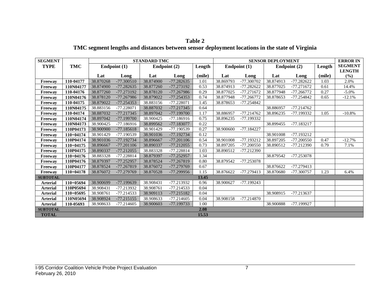| <b>Table 2</b>                                                                                 |  |
|------------------------------------------------------------------------------------------------|--|
| TMC segment lengths and distances between sensor deployment locations in the state of Virginia |  |

| <b>SEGMENT</b>  |             |           |              | <b>STANDARD TMC</b> |              |        |           |              | <b>SENSOR DEPLOYMENT</b> |              |        | <b>ERROR IN</b> |
|-----------------|-------------|-----------|--------------|---------------------|--------------|--------|-----------|--------------|--------------------------|--------------|--------|-----------------|
| <b>TYPE</b>     | TMC         |           | Endpoint (1) |                     | Endpoint (2) | Length |           | Endpoint (1) |                          | Endpoint (2) | Length | <b>SEGMENT</b>  |
|                 |             |           |              |                     |              |        |           |              |                          |              |        | <b>LENGTH</b>   |
|                 |             | Lat       | Long         | Lat                 | Long         | (mile) | Lat       | Long         | Lat                      | Long         | (mile) | $(\%)$          |
| Freeway         | 110-04177   | 38.870268 | $-77.300510$ | 38.874900           | $-77.282635$ | 1.01   | 38.869793 | -77.300702   | 38.874913                | $-77.282622$ | 1.03   | 2.0%            |
| Freeway         | 110N04177   | 38.874900 | $-77.282635$ | 38.877260           | -77.273192   | 0.53   | 38.874913 | $-77.282622$ | 38.877025                | $-77.271672$ | 0.61   | 14.4%           |
| Freeway         | 110-04176   | 38.877260 | -77.273192   | 38.878120           | $-77.267986$ | 0.29   | 38.877025 | $-77.271672$ | 38.877948                | $-77.266772$ | 0.27   | $-5.0\%$        |
| Freeway         | 110N04176   | 38.878120 | -77.267986   | 38.879022           | $-77.254353$ | 0.74   | 38.877948 | $-77.266772$ | 38.878653                | $-77.254842$ | 0.65   | $-12.1%$        |
| Freeway         | 110-04175   | 38.879022 | -77.254353   | 38.883156           | $-77.228071$ | 1.45   | 38.878653 | -77.254842   |                          |              |        |                 |
| Freeway         | 110N04175   | 38.883156 | $-77.228071$ | 38.887032           | $-77.217345$ | 0.64   |           |              | 38.886957                | $-77.214762$ |        |                 |
| Freeway         | 110-04174   | 38.887032 | -77.217345   | 38.897042           | -77.199700   | 1.17   | 38.886957 | $-77.214762$ | 38.896235                | -77.199332   | 1.05   | $-10.8%$        |
| Freeway         | 110N04174   | 38.897042 | -77.199700   | 38.900425           | $-77.186916$ | 0.75   | 38.896235 | -77.199332   |                          |              |        |                 |
| Freeway         | 110N04173   | 38.900425 | -77.186916   | 38.899562           | -77.183077   | 0.22   |           |              | 38.899455                | $-77.183217$ |        |                 |
| Freeway         | 110P04173   | 38.900900 | $-77.185618$ | 38.901429           | -77.190539   | 0.27   | 38.900600 | $-77.184227$ |                          |              |        |                 |
| Freeway         | $110+04174$ | 38.901429 | -77.190539   | 38.901036           | -77.192734   | 0.12   |           |              | 38.901008                | $-77.193212$ |        |                 |
| Freeway         | 110P04174   | 38.901036 | -77.192734   | 38.896667           | $-77.201106$ | 0.54   | 38.901008 | $-77.193212$ | 38.897205                | $-77.200550$ | 0.47   | $-12.7%$        |
| Freeway         | $110+04175$ | 38.896667 | $-77.201106$ | 38.890337           | $-77.212055$ | 0.73   | 38.897205 | $-77.200550$ | 38.890512                | $-77.212390$ | 0.79   | 7.1%            |
| Freeway         | 110P04175   | 38.890337 | $-77.212055$ | 38.883328           | -77.228814   | 1.03   | 38.890512 | $-77.212390$ |                          |              |        |                 |
| Freeway         | $110+04176$ | 38.883328 | -77.228814   | 38.879397           | $-77.252957$ | 1.34   |           |              | 38.879542                | -77.253078   |        |                 |
| Freeway         | 110P04176   | 38.879397 | $-77.252957$ | 38.878524           | -77.267819   | 0.80   | 38.879542 | -77.253078   |                          |              |        |                 |
| Freeway         | 110P04177   | 38.878524 | -77.267819   | 38.876072           | -77.279769   | 0.67   |           |              | 38.876622                | $-77.279413$ |        |                 |
| Freeway         | $110+04178$ | 38.876072 | -77.279769   | 38.870528           | $-77.299956$ | 1.15   | 38.876622 | $-77.279413$ | 38.870680                | -77.300757   | 1.23   | 6.4%            |
| <b>SUBTOTAL</b> |             |           |              |                     |              | 13.45  |           |              |                          |              |        |                 |
| <b>Arterial</b> | $110+05694$ | 38.900699 | -77.199639   | 38.908431           | -77.213932   | 0.96   | 38.900627 | $-77.199243$ |                          |              |        |                 |
| <b>Arterial</b> | 110P05694   | 38.908431 | -77.213932   | 38.908761           | $-77.214533$ | 0.04   |           |              |                          |              |        |                 |
| <b>Arterial</b> | 110+05695   | 38.908761 | $-77.214533$ | 38.909113           | $-77.215182$ | 0.04   |           |              | 38.908915                | $-77.213637$ |        |                 |
| <b>Arterial</b> | 110N05694   | 38.908924 | $-77.215155$ | 38.908633           | $-77.214605$ | 0.04   | 38.908158 | $-77.214870$ |                          |              |        |                 |
| <b>Arterial</b> | 110-05693   | 38.908633 | $-77.214605$ | 38.900603           | -77.199733   | 1.00   |           |              | 38.900888                | -77.199927   |        |                 |
| <b>SUBTOTAL</b> |             |           |              |                     |              | 2.08   |           |              |                          |              |        |                 |
| <b>TOTAL</b>    |             |           |              |                     |              | 15.53  |           |              |                          |              |        |                 |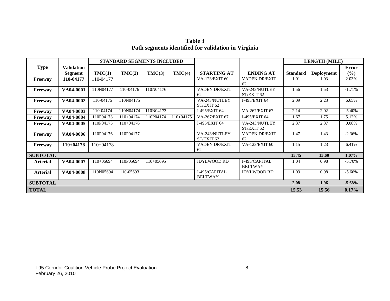**Table 3 Path segments identified for validation in Virginia**

|                 |                   |             |             | STANDARD SEGMENTS INCLUDED |             |                      |                      |                 | <b>LENGTH (MILE)</b> |              |
|-----------------|-------------------|-------------|-------------|----------------------------|-------------|----------------------|----------------------|-----------------|----------------------|--------------|
| <b>Type</b>     | <b>Validation</b> |             |             |                            |             |                      |                      |                 |                      | <b>Error</b> |
|                 | <b>Segment</b>    | TMC(1)      | TMC(2)      | TMC(3)                     | TMC(4)      | <b>STARTING AT</b>   | <b>ENDING AT</b>     | <b>Standard</b> | <b>Deployment</b>    | (%)          |
| Freeway         | 110-04177         | 110-04177   |             |                            |             | VA-123/EXIT 60       | <b>VADEN DR/EXIT</b> | 1.01            | 1.03                 | 2.03%        |
|                 |                   |             |             |                            |             |                      | 62                   |                 |                      |              |
| <b>Freeway</b>  | VA04-0001         | 110N04177   | 110-04176   | 110N04176                  |             | <b>VADEN DR/EXIT</b> | VA-243/NUTLEY        | 1.56            | 1.53                 | $-1.71%$     |
|                 |                   |             |             |                            |             | 62                   | ST/EXIT 62           |                 |                      |              |
| Freeway         | VA04-0002         | 110-04175   | 110N04175   |                            |             | VA-243/NUTLEY        | I-495/EXIT 64        | 2.09            | 2.23                 | 6.65%        |
|                 |                   |             |             |                            |             | ST/EXIT 62           |                      |                 |                      |              |
| <b>Freeway</b>  | VA04-0003         | 110-04174   | 110N04174   | 110N04173                  |             | I-495/EXIT 64        | VA-267/EXIT 67       | 2.14            | 2.02                 | $-5.40%$     |
| <b>Freeway</b>  | VA04-0004         | 110P04173   | 110+04174   | 110P04174                  | $110+04175$ | VA-267/EXIT 67       | I-495/EXIT 64        | 1.67            | 1.75                 | 5.12%        |
| <b>Freeway</b>  | VA04-0005         | 110P04175   | $110+04176$ |                            |             | I-495/EXIT 64        | VA-243/NUTLEY        | 2.37            | 2.37                 | 0.08%        |
|                 |                   |             |             |                            |             |                      | ST/EXIT 62           |                 |                      |              |
| <b>Freeway</b>  | VA04-0006         | 110P04176   | 110P04177   |                            |             | VA-243/NUTLEY        | <b>VADEN DR/EXIT</b> | 1.47            | 1.43                 | $-2.36%$     |
|                 |                   |             |             |                            |             | ST/EXIT 62           | 62                   |                 |                      |              |
| <b>Freeway</b>  | $110+04178$       | $110+04178$ |             |                            |             | <b>VADEN DR/EXIT</b> | VA-123/EXIT 60       | 1.15            | 1.23                 | 6.41%        |
|                 |                   |             |             |                            |             | 62                   |                      |                 |                      |              |
| <b>SUBTOTAL</b> |                   |             |             |                            |             |                      |                      | 13.45           | 13.60                | $1.07\%$     |
| <b>Arterial</b> | VA04-0007         | 110+05694   | 110P05694   | $110+05695$                |             | <b>IDYLWOOD RD</b>   | I-495/CAPITAL        | 1.04            | 0.98                 | $-5.70%$     |
|                 |                   |             |             |                            |             |                      | <b>BELTWAY</b>       |                 |                      |              |
| <b>Arterial</b> | VA04-0008         | 110N05694   | 110-05693   |                            |             | I-495/CAPITAL        | <b>IDYLWOOD RD</b>   | 1.03            | 0.98                 | $-5.66%$     |
|                 |                   |             |             |                            |             | <b>BELTWAY</b>       |                      |                 |                      |              |
| <b>SUBTOTAL</b> |                   |             |             |                            |             |                      |                      | 2.08            | 1.96                 | $-5.68\%$    |
| <b>TOTAL</b>    |                   |             |             |                            |             |                      |                      | 15.53           | 15.56                | 0.17%        |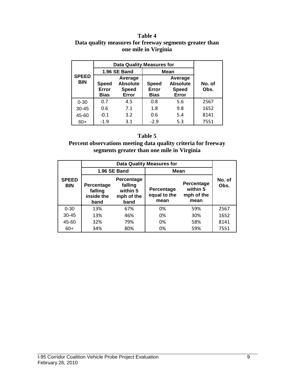#### **Table 4 Data quality measures for freeway segments greater than one mile in Virginia**

|                            |                                                                                      | <b>Data Quality Measures for</b> |                                      |                                                     |                |
|----------------------------|--------------------------------------------------------------------------------------|----------------------------------|--------------------------------------|-----------------------------------------------------|----------------|
|                            |                                                                                      | 1.96 SE Band                     | <b>Mean</b>                          |                                                     |                |
| <b>SPEED</b><br><b>BIN</b> | Average<br><b>Absolute</b><br><b>Speed</b><br>Error<br><b>Speed</b><br>Bias<br>Error |                                  | <b>Speed</b><br>Error<br><b>Bias</b> | Average<br><b>Absolute</b><br><b>Speed</b><br>Error | No. of<br>Obs. |
| $0 - 30$                   | 0.7                                                                                  | 4.5                              | 0.8                                  | 5.6                                                 | 2567           |
| $30 - 45$                  | 0.6                                                                                  | 7.1                              | 1.8                                  | 9.8                                                 | 1652           |
| 45-60                      | $-0.1$                                                                               | 3.2                              | 0.6                                  | 5.4                                                 | 8141           |
| $60+$                      | $-1.9$                                                                               | 3.1                              | $-2.9$                               | 5.3                                                 | 7551           |

#### **Table 5**

**Percent observations meeting data quality criteria for freeway segments greater than one mile in Virginia**

|                            |                                             |                                                         | <b>Data Quality Measures for</b>   |                                              |                |
|----------------------------|---------------------------------------------|---------------------------------------------------------|------------------------------------|----------------------------------------------|----------------|
|                            |                                             | 1.96 SE Band                                            | Mean                               |                                              |                |
| <b>SPEED</b><br><b>BIN</b> | Percentage<br>falling<br>inside the<br>band | Percentage<br>falling<br>within 5<br>mph of the<br>band | Percentage<br>equal to the<br>mean | Percentage<br>within 5<br>mph of the<br>mean | No. of<br>Obs. |
| $0 - 30$                   | 13%                                         | 67%                                                     | 0%                                 | 59%                                          | 2567           |
| $30 - 45$                  | 13%                                         | 46%                                                     | 0%                                 | 30%                                          | 1652           |
| 45-60                      | 32%                                         | 79%                                                     | 0%                                 | 58%                                          | 8141           |
| $60+$                      | 34%                                         | 80%                                                     | 0%                                 | 59%                                          | 7551           |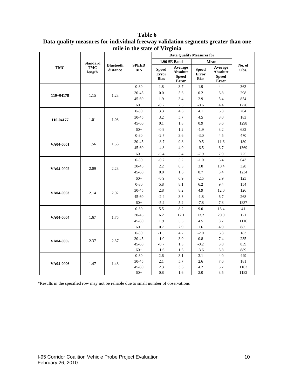|             |                      |                  |              | <b>Data Quality Measures for</b>     |                                                     |                                             |                                                     |        |
|-------------|----------------------|------------------|--------------|--------------------------------------|-----------------------------------------------------|---------------------------------------------|-----------------------------------------------------|--------|
|             |                      |                  |              |                                      |                                                     |                                             |                                                     |        |
|             | <b>Standard</b>      | <b>Bluetooth</b> | <b>SPEED</b> |                                      | 1.96 SE Band                                        |                                             | Mean                                                | No. of |
| <b>TMC</b>  | <b>TMC</b><br>length | distance         | <b>BIN</b>   | <b>Speed</b><br>Error<br><b>Bias</b> | Average<br><b>Absolute</b><br><b>Speed</b><br>Error | <b>Speed</b><br><b>Error</b><br><b>Bias</b> | Average<br><b>Absolute</b><br><b>Speed</b><br>Error | Obs.   |
|             |                      |                  | $0 - 30$     | 1.8                                  | 3.7                                                 | 1.9                                         | 4.4                                                 | 363    |
| $110+04178$ | 1.15                 | 1.23             | 30-45        | 0.0                                  | 5.6                                                 | 0.2                                         | 6.8                                                 | 298    |
|             |                      |                  | $45 - 60$    | 1.9                                  | 3.4                                                 | 2.9                                         | 5.4                                                 | 854    |
|             |                      |                  | $60+$        | $-0.2$                               | 2.3                                                 | $-0.6$                                      | 4.4                                                 | 1276   |
|             |                      |                  | $0 - 30$     | 3.3                                  | 4.6                                                 | 4.1                                         | 6.3                                                 | 264    |
| 110-04177   | 1.01                 | 1.03             | 30-45        | 3.2                                  | 5.7                                                 | 4.5                                         | 8.0                                                 | 183    |
|             |                      |                  | $45 - 60$    | 0.1                                  | 1.8                                                 | 0.9                                         | 3.6                                                 | 1298   |
|             |                      |                  | $60+$        | $-0.9$                               | 1.2                                                 | $-1.9$                                      | 3.2                                                 | 632    |
|             |                      |                  | $0 - 30$     | $-2.7$                               | 3.6                                                 | $-3.0$                                      | 4.5                                                 | 470    |
| VA04-0001   | 1.56                 | 1.53             | 30-45        | $-8.7$                               | 9.8                                                 | $-9.5$                                      | 11.6                                                | 180    |
|             |                      |                  | $45 - 60$    | $-4.8$                               | 4.9                                                 | $-6.5$                                      | 6.7                                                 | 1369   |
|             |                      |                  | $60+$        | $-5.4$                               | 5.4                                                 | $-7.9$                                      | 7.9                                                 | 725    |
|             |                      |                  | $0 - 30$     | $-0.7$                               | 5.2                                                 | $-1.0$                                      | 6.4                                                 | 643    |
| VA04-0002   | 2.09                 | 2.23             | 30-45        | 2.2                                  | 8.3                                                 | 3.0                                         | 10.4                                                | 328    |
|             |                      |                  | $45 - 60$    | 0.0                                  | 1.6                                                 | 0.7                                         | 3.4                                                 | 1234   |
|             |                      |                  | $60+$        | $-0.9$                               | 0.9                                                 | $-2.5$                                      | 2.9                                                 | 125    |
|             |                      |                  | $0 - 30$     | 5.8                                  | 8.1                                                 | 6.2                                         | 9.4                                                 | 154    |
| VA04-0003   | 2.14                 | 2.02             | 30-45        | 2.8                                  | 8.2                                                 | 4.9                                         | 12.0                                                | 126    |
|             |                      |                  | $45 - 60$    | $-2.4$                               | 3.3                                                 | $-1.8$                                      | 6.7                                                 | 268    |
|             |                      |                  | $60+$        | $-5.2$                               | 5.2                                                 | $-7.8$                                      | 7.8                                                 | 1837   |
|             |                      |                  | $0 - 30$     | 5.5                                  | 8.2                                                 | 9.0                                         | 13.4                                                | 41     |
| VA04-0004   | 1.67                 | 1.75             | 30-45        | 6.2                                  | 12.1                                                | 13.2                                        | 20.9                                                | 121    |
|             |                      |                  | $45 - 60$    | 1.9                                  | 5.3                                                 | 4.5                                         | 8.7                                                 | 1116   |
|             |                      |                  | $60+$        | 0.7                                  | 2.9                                                 | 1.6                                         | 4.9                                                 | 885    |
|             |                      |                  | $0 - 30$     | $-1.5$                               | 4.7                                                 | $-2.0$                                      | 6.3                                                 | 183    |
| VA04-0005   | 2.37                 | 2.37             | 30-45        | $-1.0$                               | 3.9                                                 | 0.8                                         | 7.4                                                 | 235    |
|             |                      |                  | 45-60        | $-0.7$                               | 1.3                                                 | $-0.2$                                      | 3.8                                                 | 839    |
|             |                      |                  | $60+$        | $-1.6$                               | 1.6                                                 | $-3.6$                                      | 3.8                                                 | 889    |
|             |                      |                  | $0 - 30$     | 2.6                                  | 3.1                                                 | 3.1                                         | 4.0                                                 | 449    |
| VA04-0006   | 1.47                 | 1.43             | 30-45        | 2.1                                  | 5.7                                                 | 2.6                                         | 7.6                                                 | 181    |
|             |                      |                  | $45 - 60$    | 2.3                                  | 3.6                                                 | 4.2                                         | 5.7                                                 | 1163   |
|             |                      |                  | $60+$        | 0.8                                  | 1.6                                                 | 2.0                                         | 3.5                                                 | 1182   |

**Table 6 Data quality measures for individual freeway validation segments greater than one mile in the state of Virginia**

\*Results in the specified row may not be reliable due to small number of observations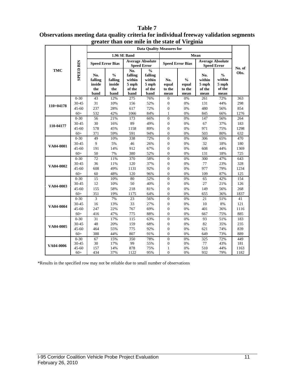|                  |                  |                                         |                                                   | greater than one mne in the state of virginia       |                                                               |                                |                                          |                                          |                                                    |        |
|------------------|------------------|-----------------------------------------|---------------------------------------------------|-----------------------------------------------------|---------------------------------------------------------------|--------------------------------|------------------------------------------|------------------------------------------|----------------------------------------------------|--------|
|                  |                  |                                         |                                                   |                                                     | <b>Data Ouality Measures for</b>                              |                                |                                          |                                          |                                                    |        |
|                  |                  |                                         |                                                   | 1.96 SE Band                                        |                                                               |                                |                                          | Mean                                     |                                                    |        |
|                  |                  | <b>Speed Error Bias</b>                 |                                                   |                                                     | <b>Average Absolute</b><br><b>Speed Error</b>                 |                                | <b>Speed Error Bias</b>                  |                                          | <b>Average Absolute</b><br><b>Speed Error</b>      | No. of |
| <b>TMC</b>       | <b>SPEED BIN</b> | No.<br>falling<br>inside<br>the<br>band | $\frac{0}{0}$<br>falling<br>inside<br>the<br>band | No.<br>falling<br>within<br>5 mph<br>of the<br>band | $\frac{0}{0}$<br>falling<br>within<br>5 mph<br>of the<br>band | No.<br>equal<br>to the<br>mean | $\frac{0}{0}$<br>equal<br>to the<br>mean | No.<br>within<br>5 mph<br>of the<br>mean | $\frac{0}{0}$<br>within<br>5 mph<br>of the<br>mean | Obs.   |
|                  | $0 - 30$         | 43                                      | 12%                                               | 275                                                 | 76%                                                           | $\overline{0}$                 | 0%                                       | 261                                      | 72%                                                | 363    |
| $110+04178$      | 30-45            | 31                                      | 10%                                               | 156                                                 | 52%                                                           | $\boldsymbol{0}$               | $0\%$                                    | 131                                      | 44%                                                | 298    |
|                  | $45 - 60$        | 237                                     | 28%                                               | 617                                                 | 72%                                                           | $\boldsymbol{0}$               | 0%                                       | 480                                      | 56%                                                | 854    |
|                  | $60+$            | 532                                     | 42%                                               | 1066                                                | 84%                                                           | $\mathbf{1}$                   | $0\%$                                    | 845                                      | 66%                                                | 1276   |
|                  | $0 - 30$         | 56                                      | 21%                                               | 173                                                 | 66%                                                           | $\overline{0}$                 | 0%                                       | 147                                      | 56%                                                | 264    |
| 110-04177        | 30-45            | 30                                      | 16%                                               | 89                                                  | 49%                                                           | $\boldsymbol{0}$               | 0%                                       | 67                                       | 37%                                                | 183    |
|                  | $45 - 60$        | 578                                     | 45%                                               | 1158                                                | 89%                                                           | $\boldsymbol{0}$               | 0%                                       | 971                                      | 75%                                                | 1298   |
|                  | $60+$            | 371                                     | 59%                                               | 591                                                 | 94%                                                           | $\overline{0}$                 | 0%                                       | 503                                      | 80%                                                | 632    |
|                  | $0 - 30$         | 49                                      | 10%                                               | 338                                                 | 72%                                                           | $\Omega$                       | 0%                                       | 306                                      | 65%                                                | 470    |
| VA04-0001        | 30-45            | 9                                       | 5%                                                | 46                                                  | 26%                                                           | $\boldsymbol{0}$               | 0%                                       | 32                                       | 18%                                                | 180    |
|                  | $45 - 60$        | 191                                     | 14%                                               | 912                                                 | 67%                                                           | $\overline{0}$                 | 0%                                       | 608                                      | 44%                                                | 1369   |
|                  | $60+$            | 50                                      | 7%                                                | 380                                                 | 52%                                                           | $\overline{0}$                 | 0%                                       | 131                                      | 18%                                                | 725    |
|                  | $0 - 30$         | 72                                      | 11%                                               | 370                                                 | 58%                                                           | $\overline{0}$                 | 0%                                       | 300                                      | 47%                                                | 643    |
| VA04-0002        | 30-45            | 36                                      | 11%                                               | 120                                                 | 37%                                                           | $\overline{0}$                 | 0%                                       | 77                                       | 23%                                                | 328    |
|                  | $45 - 60$        | 608                                     | 49%                                               | 1131                                                | 92%                                                           | $\overline{0}$                 | 0%                                       | 977                                      | 79%                                                | 1234   |
|                  | $60+$            | 60                                      | 48%                                               | 120                                                 | 96%                                                           | $\overline{0}$                 | 0%                                       | 109                                      | 87%                                                | 125    |
|                  | $0 - 30$         | 15                                      | 10%                                               | 80                                                  | 52%                                                           | $\overline{0}$                 | 0%                                       | 65                                       | 42%                                                | 154    |
| VA04-0003        | 30-45            | 12                                      | 10%                                               | 50                                                  | 40%                                                           | $\boldsymbol{0}$               | 0%                                       | 27                                       | 21%                                                | 126    |
|                  | $45 - 60$        | 155                                     | 58%                                               | 218                                                 | 81%                                                           | $\boldsymbol{0}$               | 0%                                       | 149                                      | 56%                                                | 268    |
|                  | $60+$            | 351                                     | 19%                                               | 1175                                                | 64%                                                           | $\overline{0}$                 | 0%                                       | 655                                      | 36%                                                | 1837   |
|                  | $0 - 30$         | $\overline{3}$                          | 7%                                                | 23                                                  | 56%                                                           | $\overline{0}$                 | 0%                                       | 21                                       | 51%                                                | 41     |
| VA04-0004        | 30-45            | 16                                      | 13%                                               | 33                                                  | 27%                                                           | $\boldsymbol{0}$               | 0%                                       | 10                                       | 8%                                                 | 121    |
|                  | $45 - 60$        | 247                                     | 22%                                               | 767                                                 | 69%                                                           | $\overline{0}$                 | 0%                                       | 401                                      | 36%                                                | 1116   |
|                  | $60+$            | 416                                     | 47%                                               | 775                                                 | 88%                                                           | $\overline{0}$                 | 0%                                       | 667                                      | 75%                                                | 885    |
|                  | $0 - 30$         | 31                                      | 17%                                               | 115                                                 | 63%                                                           | $\overline{0}$                 | 0%                                       | 93                                       | 51%                                                | 183    |
| VA04-0005        | 30-45            | 48                                      | 20%                                               | 159                                                 | 68%                                                           | $\overline{0}$                 | 0%                                       | 82                                       | 35%                                                | 235    |
|                  | $45 - 60$        | 464                                     | 55%                                               | 775                                                 | 92%                                                           | $\overline{0}$                 | 0%                                       | 621                                      | 74%                                                | 839    |
|                  | $60+$            | 388                                     | 44%                                               | 807                                                 | 91%                                                           | $\overline{0}$                 | 0%                                       | 649                                      | 73%                                                | 889    |
|                  | $0 - 30$         | 67                                      | 15%                                               | 350                                                 | 78%                                                           | $\overline{0}$                 | 0%                                       | 325                                      | 72%                                                | 449    |
| <b>VA04-0006</b> | 30-45            | 30                                      | 17%                                               | 99                                                  | 55%                                                           | $\overline{0}$                 | 0%                                       | 77                                       | 43%                                                | 181    |
|                  | $45 - 60$        | 157                                     | 14%                                               | 878                                                 | 75%                                                           | $\mathbf{1}$                   | 0%                                       | 510                                      | 44%                                                | 1163   |
|                  | $60+$            | 434                                     | 37%                                               | 1122                                                | 95%                                                           | $\overline{0}$                 | 0%                                       | 932                                      | 79%                                                | 1182   |

#### **Table 7 Observations meeting data quality criteria for individual freeway validation segments greater than one mile in the state of Virginia**

\*Results in the specified row may not be reliable due to small number of observations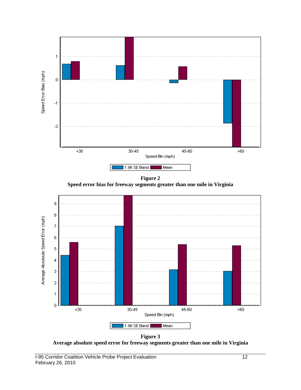



**Figure 3 Average absolute speed error for freeway segments greater than one mile in Virginia**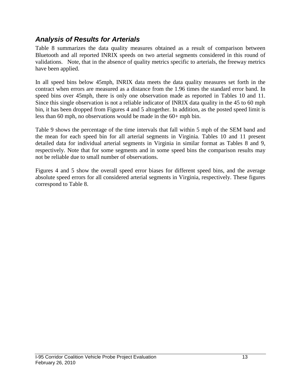### *Analysis of Results for Arterials*

Table 8 summarizes the data quality measures obtained as a result of comparison between Bluetooth and all reported INRIX speeds on two arterial segments considered in this round of validations. Note, that in the absence of quality metrics specific to arterials, the freeway metrics have been applied.

In all speed bins below 45mph, INRIX data meets the data quality measures set forth in the contract when errors are measured as a distance from the 1.96 times the standard error band. In speed bins over 45mph, there is only one observation made as reported in Tables 10 and 11. Since this single observation is not a reliable indicator of INRIX data quality in the 45 to 60 mph bin, it has been dropped from Figures 4 and 5 altogether. In addition, as the posted speed limit is less than 60 mph, no observations would be made in the 60+ mph bin.

Table 9 shows the percentage of the time intervals that fall within 5 mph of the SEM band and the mean for each speed bin for all arterial segments in Virginia. Tables 10 and 11 present detailed data for individual arterial segments in Virginia in similar format as Tables 8 and 9, respectively. Note that for some segments and in some speed bins the comparison results may not be reliable due to small number of observations.

Figures 4 and 5 show the overall speed error biases for different speed bins, and the average absolute speed errors for all considered arterial segments in Virginia, respectively. These figures correspond to Table 8.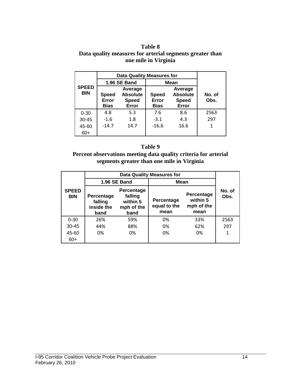#### **Table 8 Data quality measures for arterial segments greater than one mile in Virginia**

|                            |                                                                                             | <b>Data Quality Measures for</b> |                                      |                                                     |                |
|----------------------------|---------------------------------------------------------------------------------------------|----------------------------------|--------------------------------------|-----------------------------------------------------|----------------|
|                            |                                                                                             | 1.96 SE Band                     | Mean                                 |                                                     |                |
| <b>SPEED</b><br><b>BIN</b> | Average<br><b>Absolute</b><br><b>Speed</b><br>Error<br><b>Speed</b><br>Error<br><b>Bias</b> |                                  | <b>Speed</b><br>Error<br><b>Bias</b> | Average<br><b>Absolute</b><br><b>Speed</b><br>Error | No. of<br>Obs. |
| $0 - 30$                   | 4.8                                                                                         | 5.3                              | 7.6                                  | 8.6                                                 | 2563           |
| $30 - 45$                  | $-1.6$                                                                                      | 1.8                              | $-3.1$                               | 4.3                                                 | 297            |
| 45-60                      | $-14.7$                                                                                     | 14.7                             | $-16.6$                              | 16.6                                                | 1              |
| 60+                        |                                                                                             |                                  |                                      |                                                     |                |

#### **Table 9**

#### **Percent observations meeting data quality criteria for arterial segments greater than one mile in Virginia**

|                            |                                                                                                               |                     | <b>Data Quality Measures for</b>   |                                              |                |
|----------------------------|---------------------------------------------------------------------------------------------------------------|---------------------|------------------------------------|----------------------------------------------|----------------|
|                            |                                                                                                               | <b>1.96 SE Band</b> | Mean                               |                                              |                |
| <b>SPEED</b><br><b>BIN</b> | <b>Percentage</b><br>falling<br>Percentage<br>within 5<br>falling<br>inside the<br>mph of the<br>band<br>band |                     | Percentage<br>equal to the<br>mean | Percentage<br>within 5<br>mph of the<br>mean | No. of<br>Obs. |
| $0 - 30$                   | 26%                                                                                                           | 59%                 | 0%                                 | 33%                                          | 2563           |
| $30 - 45$                  | 44%                                                                                                           | 88%                 | 0%                                 | 62%                                          | 297            |
| 45-60                      | 0%                                                                                                            | 0%                  | 0%                                 | 0%                                           | 1              |
| $60+$                      |                                                                                                               |                     |                                    |                                              |                |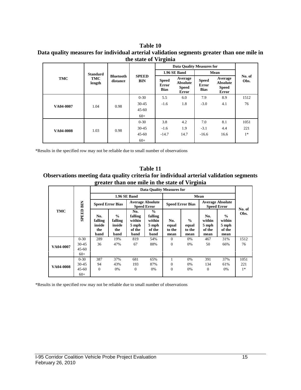#### **Table 10 Data quality measures for individual arterial validation segments greater than one mile in the state of Virginia**

| <b>TMC</b> | <b>Standard</b><br>TMC<br>length | <b>Bluetooth</b><br>distance | <b>SPEED</b><br><b>BIN</b> | <b>Data Quality Measures for</b>     |                                                            |                                      |                                                            |                |
|------------|----------------------------------|------------------------------|----------------------------|--------------------------------------|------------------------------------------------------------|--------------------------------------|------------------------------------------------------------|----------------|
|            |                                  |                              |                            |                                      | 1.96 SE Band                                               | Mean                                 |                                                            |                |
|            |                                  |                              |                            | <b>Speed</b><br>Error<br><b>Bias</b> | Average<br><b>Absolute</b><br><b>Speed</b><br><b>Error</b> | <b>Speed</b><br>Error<br><b>Bias</b> | Average<br><b>Absolute</b><br><b>Speed</b><br><b>Error</b> | No. of<br>Obs. |
| VA04-0007  | 1.04                             | 0.98                         | $0 - 30$                   | 5.5                                  | 6.0                                                        | 7.9                                  | 8.9                                                        | 1512           |
|            |                                  |                              | $30 - 45$                  | $-1.6$                               | 1.8                                                        | $-3.0$                               | 4.1                                                        | 76             |
|            |                                  |                              | $45 - 60$                  |                                      |                                                            |                                      |                                                            |                |
|            |                                  |                              | $60+$                      |                                      |                                                            |                                      |                                                            |                |
| VA04-0008  | 1.03                             | 0.98                         | $0 - 30$                   | 3.8                                  | 4.2                                                        | 7.0                                  | 8.1                                                        | 1051           |
|            |                                  |                              | $30 - 45$                  | $-1.6$                               | 1.9                                                        | $-3.1$                               | 4.4                                                        | 221            |
|            |                                  |                              | $45 - 60$                  | $-14.7$                              | 14.7                                                       | $-16.6$                              | 16.6                                                       | $1*$           |
|            |                                  |                              | $60+$                      |                                      |                                                            |                                      |                                                            |                |

\*Results in the specified row may not be reliable due to small number of observations

**Table 11 Observations meeting data quality criteria for individual arterial validation segments greater than one mile in the state of Virginia**

| <b>TMC</b> | BIN<br>SPEED | <b>Data Ouality Measures for</b>        |                                                   |                                                     |                                                               |                                |                                          |                                               |                                                    |                |
|------------|--------------|-----------------------------------------|---------------------------------------------------|-----------------------------------------------------|---------------------------------------------------------------|--------------------------------|------------------------------------------|-----------------------------------------------|----------------------------------------------------|----------------|
|            |              | 1.96 SE Band                            |                                                   |                                                     |                                                               |                                |                                          |                                               |                                                    |                |
|            |              | <b>Speed Error Bias</b>                 |                                                   | <b>Average Absolute</b><br><b>Speed Error</b>       |                                                               | <b>Speed Error Bias</b>        |                                          | <b>Average Absolute</b><br><b>Speed Error</b> |                                                    |                |
|            |              | No.<br>falling<br>inside<br>the<br>band | $\frac{0}{0}$<br>falling<br>inside<br>the<br>band | No.<br>falling<br>within<br>5 mph<br>of the<br>band | $\frac{0}{0}$<br>falling<br>within<br>5 mph<br>of the<br>band | No.<br>equal<br>to the<br>mean | $\frac{0}{0}$<br>equal<br>to the<br>mean | No.<br>within<br>5 mph<br>of the<br>mean      | $\frac{0}{0}$<br>within<br>5 mph<br>of the<br>mean | No. of<br>Obs. |
| VA04-0007  | $0 - 30$     | 289                                     | 19%                                               | 819                                                 | 54%                                                           | $\Omega$                       | $0\%$                                    | 467                                           | 31%                                                | 1512           |
|            | $30 - 45$    | 36                                      | 47%                                               | 67                                                  | 88%                                                           | $\theta$                       | 0%                                       | 50                                            | 66%                                                | 76             |
|            | $45 - 60$    |                                         |                                                   |                                                     |                                                               |                                |                                          |                                               |                                                    |                |
|            | $60+$        |                                         |                                                   |                                                     |                                                               |                                |                                          |                                               |                                                    |                |
| VA04-0008  | $0 - 30$     | 387                                     | 37%                                               | 681                                                 | 65%                                                           | 1                              | 0%                                       | 391                                           | 37%                                                | 1051           |
|            | $30 - 45$    | 94                                      | 43%                                               | 193                                                 | 87%                                                           | $\Omega$                       | 0%                                       | 134                                           | 61%                                                | 221            |
|            | $45 - 60$    | $\Omega$                                | 0%                                                | $\overline{0}$                                      | 0%                                                            | $\theta$                       | 0%                                       | $\theta$                                      | 0%                                                 | $1*$           |
|            | $60+$        |                                         |                                                   |                                                     |                                                               |                                |                                          |                                               |                                                    |                |

\*Results in the specified row may not be reliable due to small number of observations